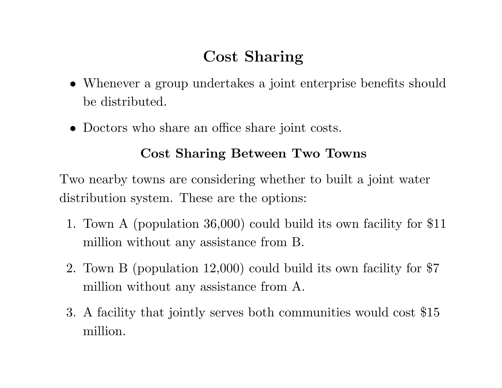# **Cost Sharing**

- *•* Whenever <sup>a</sup> group undertakes <sup>a</sup> joint enterprise benefits should be distributed.
- Doctors who share an office share joint costs.

### **Cost Sharing Between Two Towns**

Two nearby towns are considering whether to built <sup>a</sup> joint water distribution system. These are the options:

- 1. Town A (population 36,000) could build its own facility for \$11 million without any assistance from B.
- 2. Town <sup>B</sup> (population 12,000) could build its own facility for \$7 million without any assistance from A.
- 3. A facility that jointly serves both communities would cost \$15 million.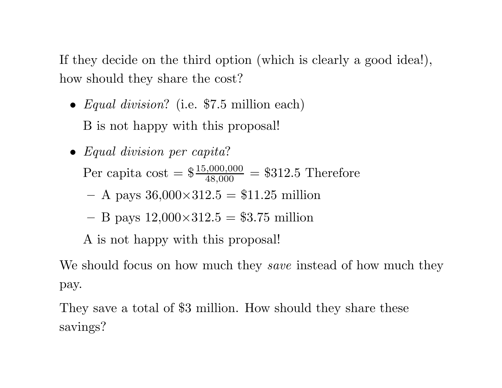If they decide on the third option (which is clearly <sup>a</sup> good idea!), how should they share the cost?

- *• Equal division*? (i.e. \$7.5 million each) B is not happy with this proposal!
- *• Equal division per capita* ? Per capita cost =  $\frac{$15,000,000}{$48,000}$  = \$312.5 Therefore A pays 36,000 *<sup>×</sup>*312.5 <sup>=</sup> \$11.25 million B pays 12,000 *<sup>×</sup>*312.5 <sup>=</sup> \$3.75 million A is not happy with this proposal!

We should focus on how much they *save* instead of how much they pay.

They save <sup>a</sup> total of \$3 million. How should they share these savings?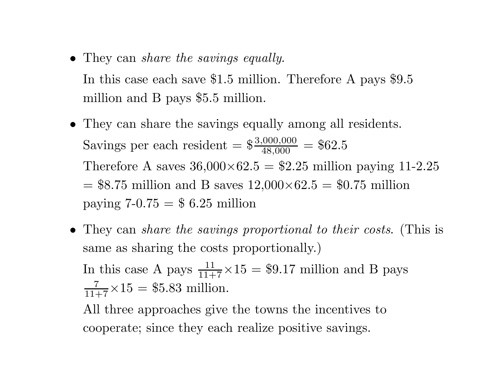- *•* They can *share the savings equally*. In this case each save \$1.5 million. Therefore A pays \$9.5 million and B pays \$5.5 million.
- *•* They can share the savings equally among all residents. Savings per each resident  $=\frac{$3,000,000}{$48,000} = $62.5$ Therefore A saves  $36,000\times62.5 = $2.25$  million paying 11-2.25 = \$8.75 million and B saves 12,000*×*62.5 <sup>=</sup> \$0.75 million paying  $7-0.75 = $6.25$  million
- *•* They can *share the savings proportional to their costs*. (This is same as sharing the costs proportionally.) In this case A pays  $\frac{11}{11+7} \times 15 = $9.17$  million and B pays  $\frac{7}{11+7} \times 15 = $5.83 \text{ million}.$ All three approaches give the towns the incentives to

cooperate; since they each realize positive savings.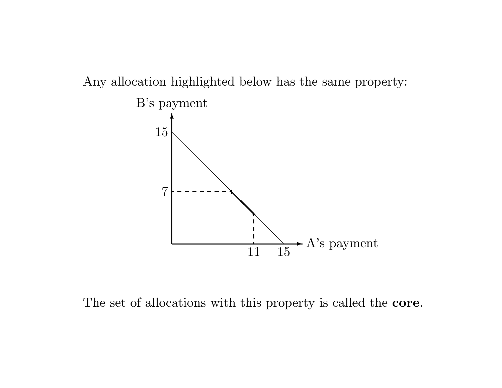Any allocation highlighted below has the same property:



The set of allocations with this property is called the **core**.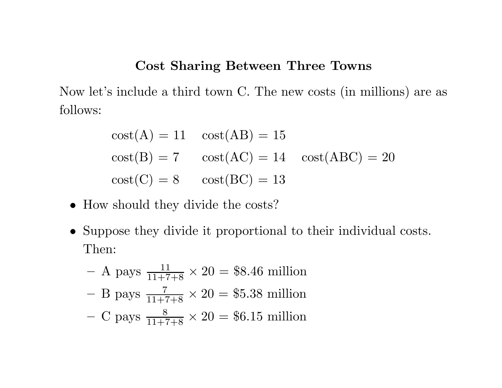#### **Cost Sharing Between Three Towns**

Now let's include <sup>a</sup> third town C. The new costs (in millions) are as follows:

$$
cost(A) = 11 \quad cost(AB) = 15
$$
  

$$
cost(B) = 7 \quad cost(AC) = 14 \quad cost(ABC) = 20
$$
  

$$
cost(C) = 8 \quad cost(BC) = 13
$$

- How should they divide the costs?
- *•* Suppose they divide it proportional to their individual costs. Then:

- A pays 
$$
\frac{11}{11+7+8} \times 20 = $8.46
$$
 million  
\n- B pays  $\frac{7}{11+7+8} \times 20 = $5.38$  million  
\n- C pays  $\frac{8}{11+7+8} \times 20 = $6.15$  million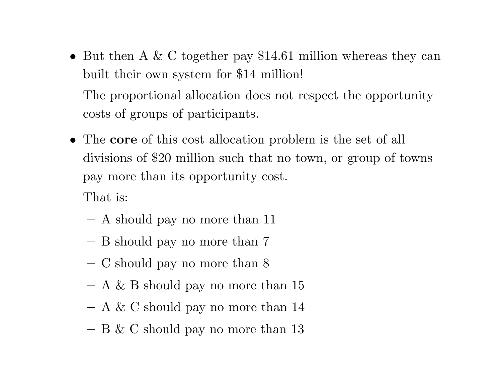*•* But then A & C together pay \$14.61 million whereas they can built their own system for \$14 million! The proportional allocation does not respect the opportunity

costs of groups of participants.

*•* The **core** of this cost allocation problem is the set of all divisions of \$20 million such that no town, or group of towns pay more than its opportunity cost.

That is:

- A should pay no more than 11
- **–**B should pay no more than 7
- **–**C should pay no more than 8
- $-$  A & B should pay no more than 15
- $-$  A & C should pay no more than 14
- **–** $-$  B & C should pay no more than 13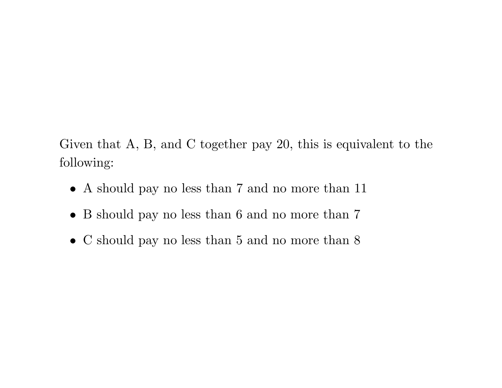Given that A, B, and C together pay 20, this is equivalent to the following:

- *•* A should pay no less than 7 and no more than 11
- B should pay no less than 6 and no more than 7
- C should pay no less than 5 and no more than 8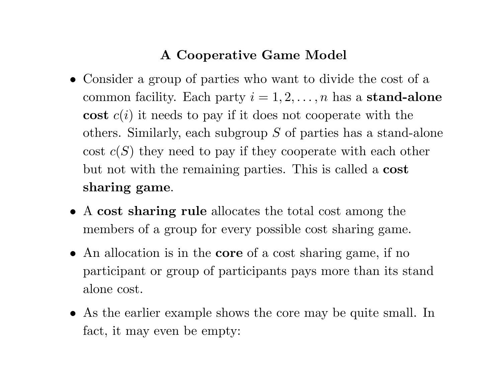### **A Cooperative Game Model**

- *•* Consider <sup>a</sup> group of parties who want to divide the cost of <sup>a</sup>  $\text{common facility.}$  Each party  $i = 1, 2, \ldots, n$  has a stand-alone **cost** *c* ( *<sup>i</sup>*) it needs to pay if it does not cooperate with the others. Similarly, each subgroup *S* of parties has <sup>a</sup> stand-alone cost *c* ( *S*) they need to pay if they cooperate with each other but not with the remaining parties. This is called <sup>a</sup> **cost sharing game**.
- *•* A **cost sharing rule** allocates the total cost among the members of <sup>a</sup> group for every possible cost sharing game.
- *•* An allocation is in the **core** of <sup>a</sup> cost sharing game, if no participant or group of participants pays more than its stand alone cost.
- *•* As the earlier example shows the core may be quite small. In fact, it may even be empty: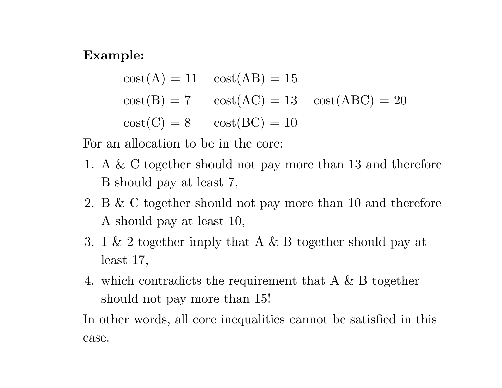#### **Example:**

 $cost(A) = 11 \quad cost(AB) = 15$  $cost(B) = 7 \quad cost(AC) = 13 \quad cost(ABC) = 20$  $cost(C) = 8 \qquad cost(BC) = 10$ 

For an allocation to be in the core:

- 1. A & C together should not pay more than 13 and therefore B should pay at least 7,
- 2. B & C together should not pay more than 10 and therefore A should pay at least 10,
- 3. 1 & 2 together imply that A & B together should pay at least 17,
- 4. which contradicts the requirement that A & B together should not pay more than 15!

In other words, all core inequalities cannot be satisfied in this case.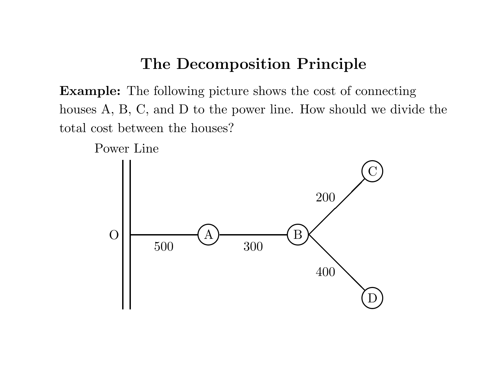### **The Decomposition Principle**

**Example:** The following <sup>p</sup>icture shows the cost of connecting houses A, B, C, and D to the power line. How should we divide the total cost between the houses?



Power Line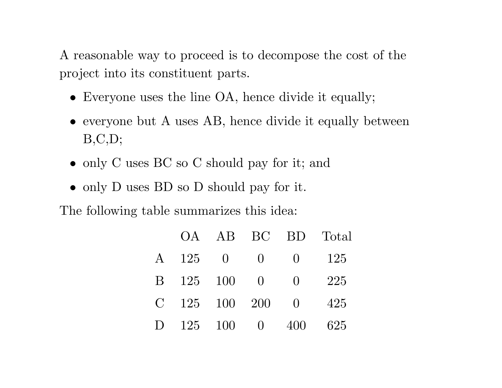A reasonable way to proceed is to decompose the cost of the project into its constituent parts.

- *•* Everyone uses the line OA, hence divide it equally;
- everyone but A uses AB, hence divide it equally between  $B, C, D;$
- only C uses BC so C should pay for it; and
- only D uses BD so D should pay for it.

The following table summarizes this idea:

|               | OA.     |          | AB BC BD         |                                 | Total |
|---------------|---------|----------|------------------|---------------------------------|-------|
| $\mathbf{A}$  | 125     | $\Box$ O | $\left( \right)$ | $\overline{0}$                  | 125   |
| B.            | 125     | 100      | $\bigcirc$       | - ()                            | 225   |
| $\mathcal{C}$ | 125 100 |          | - 200            | $\begin{matrix} 0 \end{matrix}$ | 425   |
|               | $125\,$ | 100      | $\left( \right)$ | 400                             | 625   |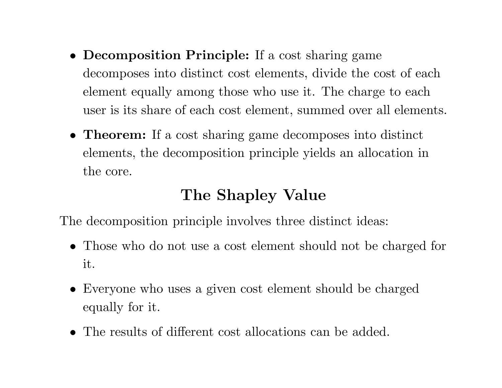- *•* **Decomposition Principle:** If <sup>a</sup> cost sharing game decomposes into distinct cost elements, divide the cost of each element equally among those who use it. The charge to each user is its share of each cost element, summed over all elements.
- *•* **Theorem:** If <sup>a</sup> cost sharing game decomposes into distinct elements, the decomposition principle yields an allocation in the core.

## **The Shapley Value**

The decomposition principle involves three distinct ideas:

- *•* Those who do not use <sup>a</sup> cost element should not be charged for it.
- *•* Everyone who uses <sup>a</sup> given cost element should be charged equally for it.
- *•* The results of different cost allocations can be added.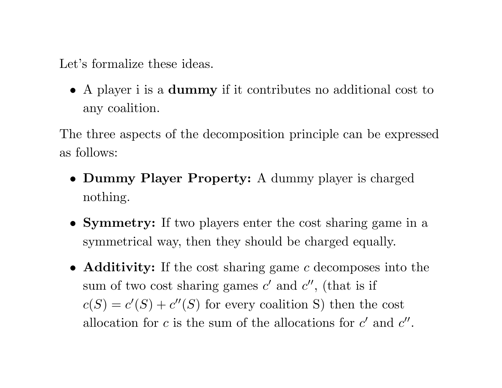Let's formalize these ideas.

*•* A <sup>p</sup>layer i is <sup>a</sup> **dummy** if it contributes no additional cost to any coalition.

The three aspects of the decomposition principle can be expressed as follows:

- *•* **Dummy Player Property:** A dummy <sup>p</sup>layer is charged nothing.
- *•* **Symmetry:** If two <sup>p</sup>layers enter the cost sharing game in <sup>a</sup> symmetrical way, then they should be charged equally.
- *•* **Additivity:** If the cost sharing game *<sup>c</sup>* decomposes into the sum of two cost sharing games  $c'$  and  $c''$ , (that is if  $c(S) = c'(S) + c''(S)$  for every coalition S) then the cost allocation for *c* is the sum of the allocations for  $c'$  and  $c''$ .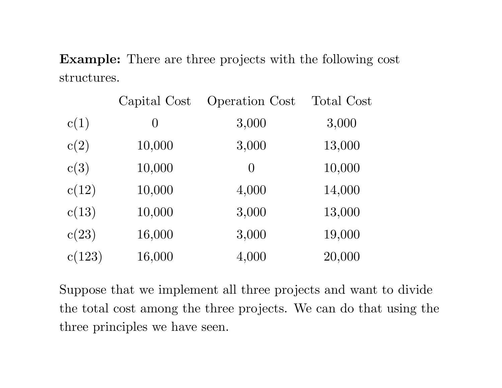**Example:** There are three projects with the following cost structures.

|        | Capital Cost   | <b>Operation Cost</b> | <b>Total Cost</b> |
|--------|----------------|-----------------------|-------------------|
| c(1)   | $\overline{0}$ | 3,000                 | 3,000             |
| c(2)   | 10,000         | 3,000                 | 13,000            |
| c(3)   | 10,000         | $\Omega$              | 10,000            |
| c(12)  | 10,000         | 4,000                 | 14,000            |
| c(13)  | 10,000         | 3,000                 | 13,000            |
| c(23)  | 16,000         | 3,000                 | 19,000            |
| c(123) | 16,000         | 4,000                 | 20,000            |

Suppose that we implement all three projects and want to divide the total cost among the three projects. We can do that using the three principles we have seen.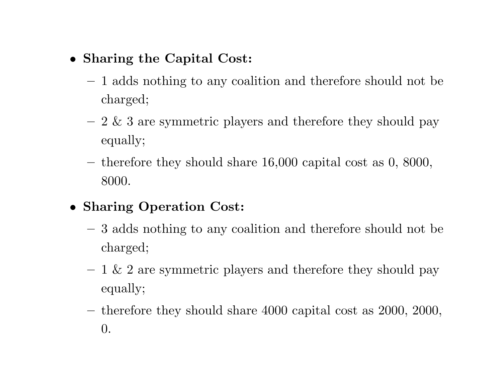- *•* **Sharing the Capital Cost:**
	- **–** 1 adds nothing to any coalition and therefore should not be charged;
	- **–** $-$  2 & 3 are symmetric players and therefore they should pay equally;
	- $-$  therefore they should share 16,000 capital cost as 0, 8000, 8000.
- *•* **Sharing Operation Cost:**
	- **–** 3 adds nothing to any coalition and therefore should not be charged;
	- $-1$  & 2 are symmetric players and therefore they should pay equally;
	- **–** therefore they should share 4000 capital cost as 2000, 2000, 0.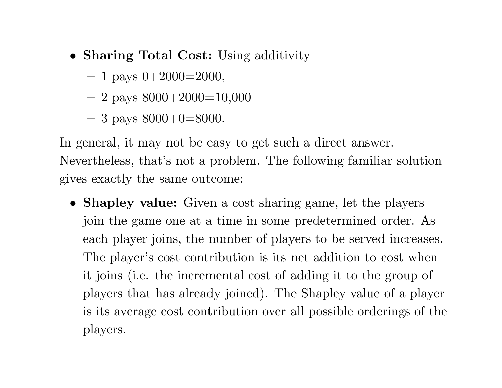- *•* **Sharing Total Cost:** Using additivity
	- **–** 1 pays 0+2000=2000,
	- **–** 2 pays 8000+2000=10,000
	- **–** 3 pays 8000+0=8000.

In general, it may not be easy to get such <sup>a</sup> direct answer. Nevertheless, that's not <sup>a</sup> problem. The following familiar solution gives exactly the same outcome:

*•* **Shapley value:** Given <sup>a</sup> cost sharing game, let the <sup>p</sup>layers join the game one at <sup>a</sup> time in some predetermined order. As each <sup>p</sup>layer joins, the number of <sup>p</sup>layers to be served increases. The player's cost contribution is its net addition to cost when it joins (i.e. the incremental cost of adding it to the group of <sup>p</sup>layers that has already joined). The Shapley value of <sup>a</sup> <sup>p</sup>layer is its average cost contribution over all possible orderings of the players.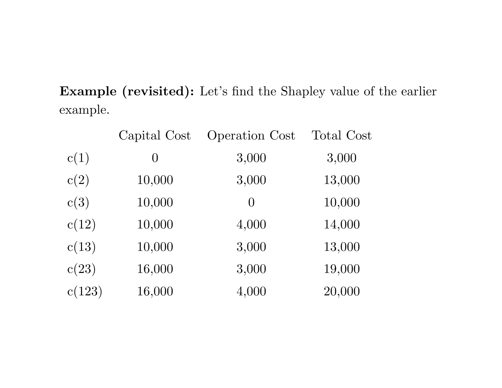**Example** (revisited): Let's find the Shapley value of the earlier example.

|        | Capital Cost | <b>Operation Cost</b> | <b>Total Cost</b> |
|--------|--------------|-----------------------|-------------------|
| c(1)   | $\theta$     | 3,000                 | 3,000             |
| c(2)   | 10,000       | 3,000                 | 13,000            |
| c(3)   | 10,000       | $\left( \right)$      | 10,000            |
| c(12)  | 10,000       | 4,000                 | 14,000            |
| c(13)  | 10,000       | 3,000                 | 13,000            |
| c(23)  | 16,000       | 3,000                 | 19,000            |
| c(123) | 16,000       | 4,000                 | 20,000            |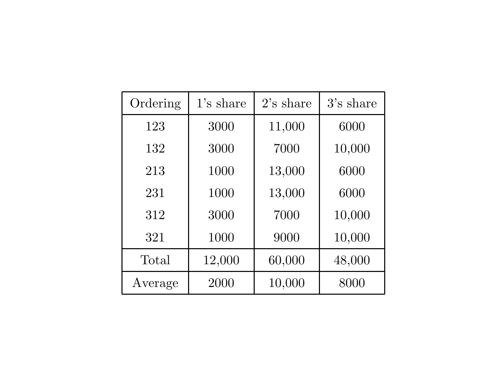| Ordering | $1$ 's share | $2$ 's share | 3's share |
|----------|--------------|--------------|-----------|
| 123      | 3000         | 11,000       | 6000      |
| 132      | 3000         | 7000         | 10,000    |
| 213      | 1000         | 13,000       | 6000      |
| 231      | 1000         | 13,000       | 6000      |
| 312      | 3000         | 7000         | 10,000    |
| 321      | 1000         | 9000         | 10,000    |
| Total    | 12,000       | 60,000       | 48,000    |
| Average  | 2000         | 10,000       | 8000      |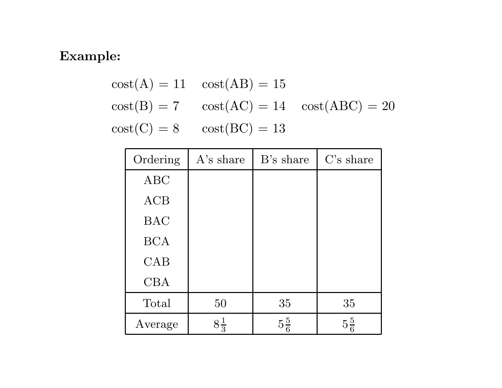### **Example:**

$$
cost(A) = 11 \quad cost(AB) = 15
$$
  

$$
cost(B) = 7 \quad cost(AC) = 14 \quad cost(ABC) = 20
$$
  

$$
cost(C) = 8 \quad cost(BC) = 13
$$

| Ordering   | A's share      | B's share      | $C$ 's share   |
|------------|----------------|----------------|----------------|
| <b>ABC</b> |                |                |                |
| <b>ACB</b> |                |                |                |
| <b>BAC</b> |                |                |                |
| <b>BCA</b> |                |                |                |
| CAB        |                |                |                |
| <b>CBA</b> |                |                |                |
| Total      | 50             | 35             | 35             |
| Average    | $8\frac{1}{3}$ | $5\frac{5}{6}$ | $5\frac{5}{6}$ |